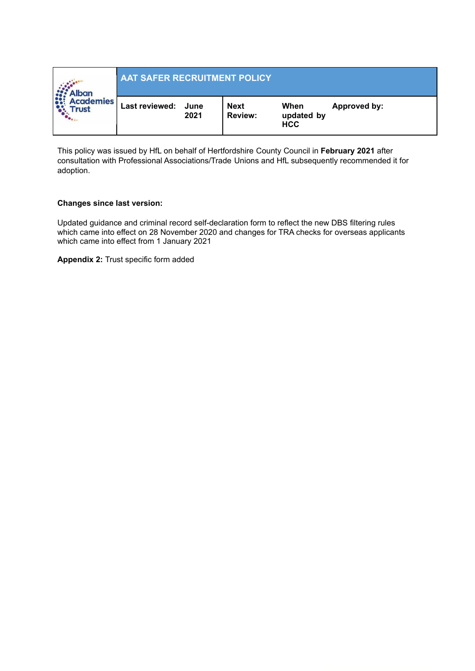| <b>Alban</b><br><b>Academies</b><br><b>Trust</b> | <b>AAT SAFER RECRUITMENT POLICY</b> |      |                               |                                  |              |  |  |
|--------------------------------------------------|-------------------------------------|------|-------------------------------|----------------------------------|--------------|--|--|
|                                                  | Last reviewed: June                 | 2021 | <b>Next</b><br><b>Review:</b> | When<br>updated by<br><b>HCC</b> | Approved by: |  |  |

This policy was issued by HfL on behalf of Hertfordshire County Council in **February 2021** after consultation with Professional Associations/Trade Unions and HfL subsequently recommended it for adoption.

#### **Changes since last version:**

Updated guidance and criminal record self-declaration form to reflect the new DBS filtering rules which came into effect on 28 November 2020 and changes for TRA checks for overseas applicants which came into effect from 1 January 2021

**Appendix 2:** Trust specific form added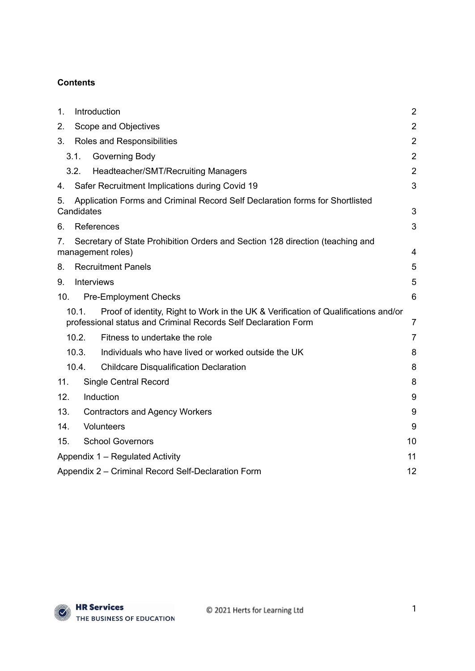## **Contents**

| 1.  | Introduction                                 |                                                                                                                                                      |                |
|-----|----------------------------------------------|------------------------------------------------------------------------------------------------------------------------------------------------------|----------------|
| 2.  | Scope and Objectives                         |                                                                                                                                                      |                |
| 3.  | $\overline{2}$<br>Roles and Responsibilities |                                                                                                                                                      |                |
|     | 3.1.                                         | Governing Body                                                                                                                                       | $\overline{2}$ |
|     | 3.2.                                         | Headteacher/SMT/Recruiting Managers                                                                                                                  | $\overline{2}$ |
| 4.  |                                              | Safer Recruitment Implications during Covid 19                                                                                                       | 3              |
| 5.  | Candidates                                   | Application Forms and Criminal Record Self Declaration forms for Shortlisted                                                                         | 3              |
| 6.  |                                              | References                                                                                                                                           | 3              |
| 7.  |                                              | Secretary of State Prohibition Orders and Section 128 direction (teaching and<br>management roles)                                                   | 4              |
| 8.  |                                              | <b>Recruitment Panels</b>                                                                                                                            | 5              |
| 9.  |                                              | <b>Interviews</b>                                                                                                                                    | 5              |
| 10. |                                              | <b>Pre-Employment Checks</b>                                                                                                                         | 6              |
|     | 10.1.                                        | Proof of identity, Right to Work in the UK & Verification of Qualifications and/or<br>professional status and Criminal Records Self Declaration Form | $\overline{7}$ |
|     | 10.2.                                        | Fitness to undertake the role                                                                                                                        | $\overline{7}$ |
|     | 10.3.                                        | Individuals who have lived or worked outside the UK                                                                                                  | 8              |
|     | 10.4.                                        | <b>Childcare Disqualification Declaration</b>                                                                                                        | 8              |
| 11. |                                              | <b>Single Central Record</b>                                                                                                                         | 8              |
| 12. |                                              | Induction                                                                                                                                            | 9              |
| 13. | <b>Contractors and Agency Workers</b>        |                                                                                                                                                      | 9              |
| 14. |                                              | Volunteers                                                                                                                                           | 9              |
| 15. | <b>School Governors</b><br>10                |                                                                                                                                                      |                |
|     |                                              | Appendix 1 – Regulated Activity                                                                                                                      | 11             |
|     |                                              | Appendix 2 – Criminal Record Self-Declaration Form                                                                                                   | 12             |

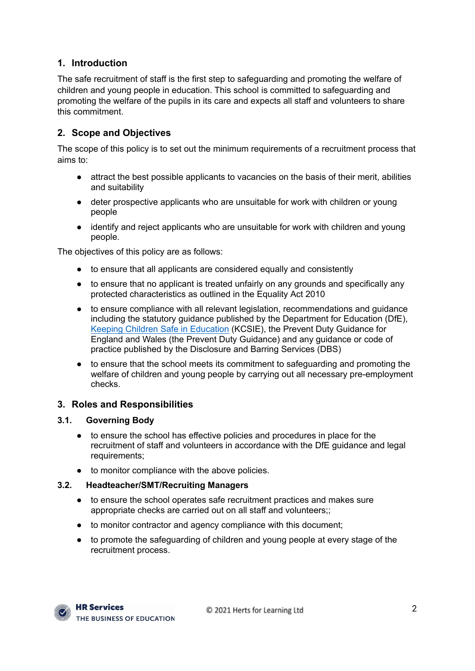## <span id="page-2-0"></span>**1. Introduction**

The safe recruitment of staff is the first step to safeguarding and promoting the welfare of children and young people in education. This school is committed to safeguarding and promoting the welfare of the pupils in its care and expects all staff and volunteers to share this commitment.

## <span id="page-2-1"></span>**2. Scope and Objectives**

The scope of this policy is to set out the minimum requirements of a recruitment process that aims to:

- attract the best possible applicants to vacancies on the basis of their merit, abilities and suitability
- deter prospective applicants who are unsuitable for work with children or young people
- identify and reject applicants who are unsuitable for work with children and young people.

The objectives of this policy are as follows:

- to ensure that all applicants are considered equally and consistently
- to ensure that no applicant is treated unfairly on any grounds and specifically any protected characteristics as outlined in the Equality Act 2010
- to ensure compliance with all relevant legislation, recommendations and guidance including the statutory guidance published by the Department for Education (DfE), Keeping Children Safe in [Education](https://www.gov.uk/government/publications/keeping-children-safe-in-education--2) (KCSIE), the Prevent Duty Guidance for England and Wales (the Prevent Duty Guidance) and any guidance or code of practice published by the Disclosure and Barring Services (DBS)
- to ensure that the school meets its commitment to safeguarding and promoting the welfare of children and young people by carrying out all necessary pre-employment checks.

#### <span id="page-2-2"></span>**3. Roles and Responsibilities**

#### <span id="page-2-3"></span>**3.1. Governing Body**

- to ensure the school has effective policies and procedures in place for the recruitment of staff and volunteers in accordance with the DfE guidance and legal requirements;
- to monitor compliance with the above policies.

#### <span id="page-2-4"></span>**3.2. Headteacher/SMT/Recruiting Managers**

- to ensure the school operates safe recruitment practices and makes sure appropriate checks are carried out on all staff and volunteers;;
- to monitor contractor and agency compliance with this document;
- to promote the safeguarding of children and young people at every stage of the recruitment process.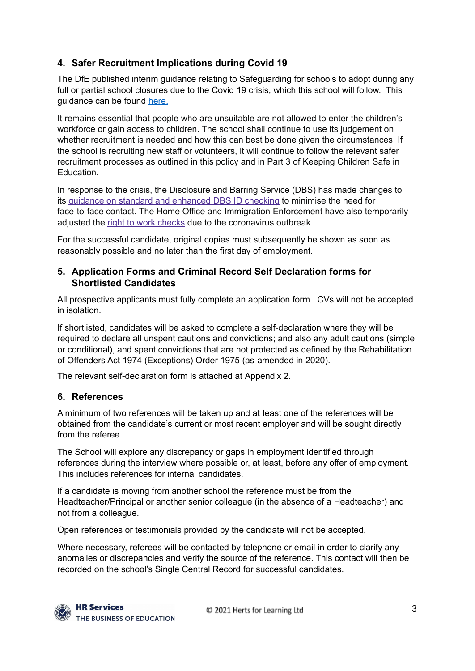## <span id="page-3-0"></span>**4. Safer Recruitment Implications during Covid 19**

The DfE published interim guidance relating to Safeguarding for schools to adopt during any full or partial school closures due to the Covid 19 crisis, which this school will follow. This guidance can be found [here.](https://www.gov.uk/government/publications/covid-19-safeguarding-in-schools-colleges-and-other-providers/coronavirus-covid-19-safeguarding-in-schools-colleges-and-other-providers)

It remains essential that people who are unsuitable are not allowed to enter the children's workforce or gain access to children. The school shall continue to use its judgement on whether recruitment is needed and how this can best be done given the circumstances. If the school is recruiting new staff or volunteers, it will continue to follow the relevant safer recruitment processes as outlined in this policy and in Part 3 of Keeping Children Safe in Education.

In response to the crisis, the Disclosure and Barring Service (DBS) has made changes to its guidance on standard and [enhanced](https://www.gov.uk/government/news/covid-19-changes-to-dbs-id-checking-guidelines) DBS ID checking to minimise the need for face-to-face contact. The Home Office and Immigration Enforcement have also temporarily adjusted the right to work [checks](https://www.gov.uk/guidance/coronavirus-covid-19-right-to-work-checks) due to the coronavirus outbreak.

For the successful candidate, original copies must subsequently be shown as soon as reasonably possible and no later than the first day of employment.

### <span id="page-3-1"></span>**5. Application Forms and Criminal Record Self Declaration forms for Shortlisted Candidates**

All prospective applicants must fully complete an application form. CVs will not be accepted in isolation.

If shortlisted, candidates will be asked to complete a self-declaration where they will be required to declare all unspent cautions and convictions; and also any adult cautions (simple or conditional), and spent convictions that are not protected as defined by the Rehabilitation of Offenders Act 1974 (Exceptions) Order 1975 (as amended in 2020).

The relevant self-declaration form is attached at Appendix 2.

## <span id="page-3-2"></span>**6. References**

A minimum of two references will be taken up and at least one of the references will be obtained from the candidate's current or most recent employer and will be sought directly from the referee.

The School will explore any discrepancy or gaps in employment identified through references during the interview where possible or, at least, before any offer of employment. This includes references for internal candidates.

If a candidate is moving from another school the reference must be from the Headteacher/Principal or another senior colleague (in the absence of a Headteacher) and not from a colleague.

Open references or testimonials provided by the candidate will not be accepted.

Where necessary, referees will be contacted by telephone or email in order to clarify any anomalies or discrepancies and verify the source of the reference. This contact will then be recorded on the school's Single Central Record for successful candidates.

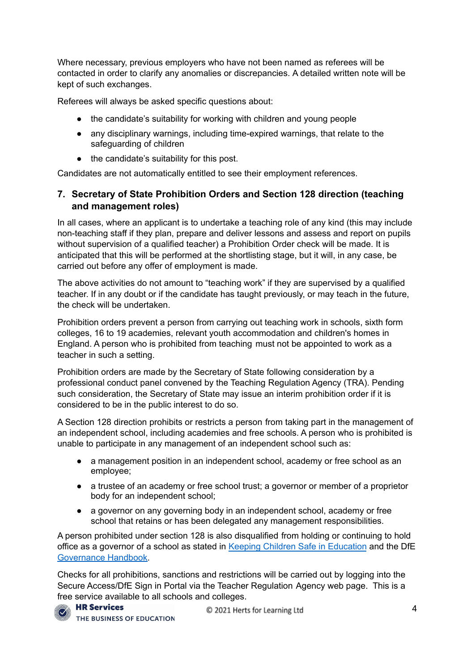Where necessary, previous employers who have not been named as referees will be contacted in order to clarify any anomalies or discrepancies. A detailed written note will be kept of such exchanges.

Referees will always be asked specific questions about:

- the candidate's suitability for working with children and young people
- any disciplinary warnings, including time-expired warnings, that relate to the safeguarding of children
- the candidate's suitability for this post.

Candidates are not automatically entitled to see their employment references.

## <span id="page-4-0"></span>**7. Secretary of State Prohibition Orders and Section 128 direction (teaching and management roles)**

In all cases, where an applicant is to undertake a teaching role of any kind (this may include non-teaching staff if they plan, prepare and deliver lessons and assess and report on pupils without supervision of a qualified teacher) a Prohibition Order check will be made. It is anticipated that this will be performed at the shortlisting stage, but it will, in any case, be carried out before any offer of employment is made.

The above activities do not amount to "teaching work" if they are supervised by a qualified teacher. If in any doubt or if the candidate has taught previously, or may teach in the future, the check will be undertaken.

Prohibition orders prevent a person from carrying out teaching work in schools, sixth form colleges, 16 to 19 academies, relevant youth accommodation and children's homes in England. A person who is prohibited from teaching must not be appointed to work as a teacher in such a setting.

Prohibition orders are made by the Secretary of State following consideration by a professional conduct panel convened by the Teaching Regulation Agency (TRA). Pending such consideration, the Secretary of State may issue an interim prohibition order if it is considered to be in the public interest to do so.

A Section 128 direction prohibits or restricts a person from taking part in the management of an independent school, including academies and free schools. A person who is prohibited is unable to participate in any management of an independent school such as:

- a management position in an independent school, academy or free school as an employee;
- a trustee of an academy or free school trust; a governor or member of a proprietor body for an independent school;
- a governor on any governing body in an independent school, academy or free school that retains or has been delegated any management responsibilities.

A person prohibited under section 128 is also disqualified from holding or continuing to hold office as a governor of a school as stated in Keeping Children Safe in [Education](https://www.gov.uk/government/publications/keeping-children-safe-in-education--2) and the DfE [Governance](https://www.gov.uk/government/publications/governance-handbook) Handbook.

Checks for all prohibitions, sanctions and restrictions will be carried out by logging into the Secure Access/DfE Sign in Portal via the Teacher Regulation Agency web page. This is a free service available to all schools and colleges.

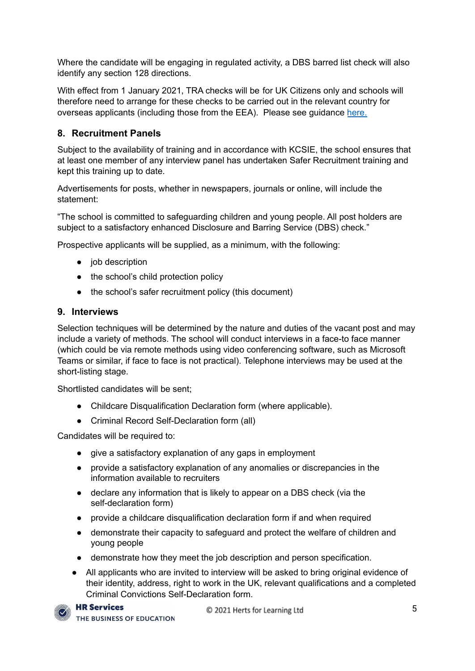Where the candidate will be engaging in regulated activity, a DBS barred list check will also identify any section 128 directions.

With effect from 1 January 2021, TRA checks will be for UK Citizens only and schools will therefore need to arrange for these checks to be carried out in the relevant country for overseas applicants (including those from the EEA). Please see guidance [here.](https://www.gov.uk/guidance/changes-to-checks-for-eu-sanctions-on-eea-teachers-from-1-january-2021)

## <span id="page-5-0"></span>**8. Recruitment Panels**

Subject to the availability of training and in accordance with KCSIE, the school ensures that at least one member of any interview panel has undertaken Safer Recruitment training and kept this training up to date.

Advertisements for posts, whether in newspapers, journals or online, will include the statement:

"The school is committed to safeguarding children and young people. All post holders are subject to a satisfactory enhanced Disclosure and Barring Service (DBS) check."

Prospective applicants will be supplied, as a minimum, with the following:

- job description
- the school's child protection policy
- the school's safer recruitment policy (this document)

#### <span id="page-5-1"></span>**9. Interviews**

Selection techniques will be determined by the nature and duties of the vacant post and may include a variety of methods. The school will conduct interviews in a face-to face manner (which could be via remote methods using video conferencing software, such as Microsoft Teams or similar, if face to face is not practical). Telephone interviews may be used at the short-listing stage.

Shortlisted candidates will be sent;

- Childcare Disqualification Declaration form (where applicable).
- Criminal Record Self-Declaration form (all)

Candidates will be required to:

- give a satisfactory explanation of any gaps in employment
- provide a satisfactory explanation of any anomalies or discrepancies in the information available to recruiters
- declare any information that is likely to appear on a DBS check (via the self-declaration form)
- provide a childcare disqualification declaration form if and when required
- demonstrate their capacity to safeguard and protect the welfare of children and young people
- demonstrate how they meet the job description and person specification.
- **●** All applicants who are invited to interview will be asked to bring original evidence of their identity, address, right to work in the UK, relevant qualifications and a completed Criminal Convictions Self-Declaration form.

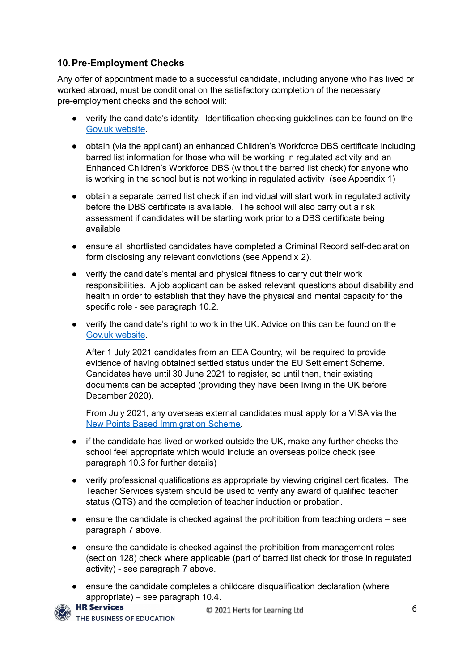## <span id="page-6-0"></span>**10.Pre-Employment Checks**

Any offer of appointment made to a successful candidate, including anyone who has lived or worked abroad, must be conditional on the satisfactory completion of the necessary pre-employment checks and the school will:

- verify the candidate's identity. Identification checking guidelines can be found on the Gov.uk [website](https://www.gov.uk/government/publications/dbs-identity-checking-guidelines).
- obtain (via the applicant) an enhanced Children's Workforce DBS certificate including barred list information for those who will be working in regulated activity and an Enhanced Children's Workforce DBS (without the barred list check) for anyone who is working in the school but is not working in regulated activity (see Appendix 1)
- obtain a separate barred list check if an individual will start work in regulated activity before the DBS certificate is available. The school will also carry out a risk assessment if candidates will be starting work prior to a DBS certificate being available
- ensure all shortlisted candidates have completed a Criminal Record self-declaration form disclosing any relevant convictions (see Appendix 2).
- verify the candidate's mental and physical fitness to carry out their work responsibilities. A job applicant can be asked relevant questions about disability and health in order to establish that they have the physical and mental capacity for the specific role - see paragraph 10.2.
- verify the candidate's right to work in the UK. Advice on this can be found on the Gov.uk [website](https://www.gov.uk/check-job-applicant-right-to-work).

After 1 July 2021 candidates from an EEA Country, will be required to provide evidence of having obtained settled status under the EU Settlement Scheme. Candidates have until 30 June 2021 to register, so until then, their existing documents can be accepted (providing they have been living in the UK before December 2020).

From July 2021, any overseas external candidates must apply for a VISA via the New Points Based [Immigration](https://www.gov.uk/government/publications/uk-points-based-immigration-system-employer-information/the-uks-points-based-immigration-system-an-introduction-for-employers) Scheme.

- if the candidate has lived or worked outside the UK, make any further checks the school feel appropriate which would include an overseas police check (see paragraph 10.3 for further details)
- verify professional qualifications as appropriate by viewing original certificates. The Teacher Services system should be used to verify any award of qualified teacher status (QTS) and the completion of teacher induction or probation.
- $\bullet$  ensure the candidate is checked against the prohibition from teaching orders  $-$  see paragraph 7 above.
- ensure the candidate is checked against the prohibition from management roles (section 128) check where applicable (part of barred list check for those in regulated activity) - see paragraph 7 above.
- ensure the candidate completes a childcare disqualification declaration (where appropriate) – see paragraph 10.4.<br>**HR Services**

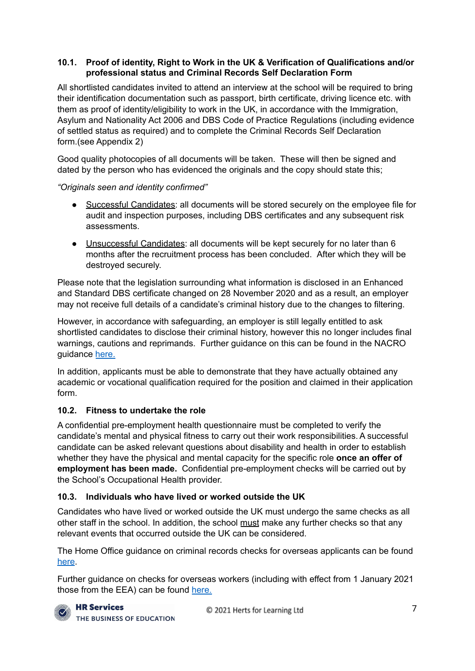#### <span id="page-7-0"></span>**10.1. Proof of identity, Right to Work in the UK & Verification of Qualifications and/or professional status and Criminal Records Self Declaration Form**

All shortlisted candidates invited to attend an interview at the school will be required to bring their identification documentation such as passport, birth certificate, driving licence etc. with them as proof of identity/eligibility to work in the UK, in accordance with the Immigration. Asylum and Nationality Act 2006 and DBS Code of Practice Regulations (including evidence of settled status as required) and to complete the Criminal Records Self Declaration form.(see Appendix 2)

Good quality photocopies of all documents will be taken. These will then be signed and dated by the person who has evidenced the originals and the copy should state this;

*"Originals seen and identity confirmed"*

- Successful Candidates: all documents will be stored securely on the employee file for audit and inspection purposes, including DBS certificates and any subsequent risk assessments.
- **●** Unsuccessful Candidates: all documents will be kept securely for no later than 6 months after the recruitment process has been concluded. After which they will be destroyed securely.

Please note that the legislation surrounding what information is disclosed in an Enhanced and Standard DBS certificate changed on 28 November 2020 and as a result, an employer may not receive full details of a candidate's criminal history due to the changes to filtering.

However, in accordance with safeguarding, an employer is still legally entitled to ask shortlisted candidates to disclose their criminal history, however this no longer includes final warnings, cautions and reprimands. Further guidance on this can be found in the NACRO guidance [here.](https://www.nacro.org.uk/criminal-record-support-service/support-for-employers/asking-about-criminal-records/)

In addition, applicants must be able to demonstrate that they have actually obtained any academic or vocational qualification required for the position and claimed in their application form.

## <span id="page-7-1"></span>**10.2. Fitness to undertake the role**

A confidential pre-employment health questionnaire must be completed to verify the candidate's mental and physical fitness to carry out their work responsibilities. A successful candidate can be asked relevant questions about disability and health in order to establish whether they have the physical and mental capacity for the specific role **once an offer of employment has been made.** Confidential pre-employment checks will be carried out by the School's Occupational Health provider.

## <span id="page-7-2"></span>**10.3. Individuals who have lived or worked outside the UK**

Candidates who have lived or worked outside the UK must undergo the same checks as all other staff in the school. In addition, the school must make any further checks so that any relevant events that occurred outside the UK can be considered.

The Home Office guidance on criminal records checks for overseas applicants can be found [here](https://www.gov.uk/government/publications/criminal-records-checks-for-overseas-applicants).

Further guidance on checks for overseas workers (including with effect from 1 January 2021 those from the EEA) can be found [here.](https://www.gov.uk/guidance/changes-to-checks-for-eu-sanctions-on-eea-teachers-from-1-january-2021)

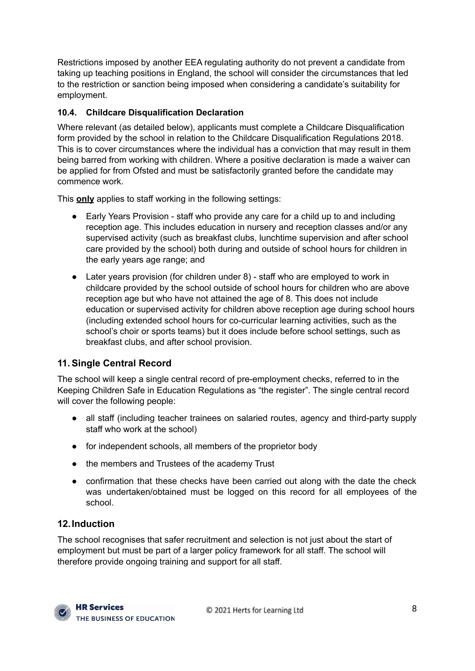Restrictions imposed by another EEA regulating authority do not prevent a candidate from taking up teaching positions in England, the school will consider the circumstances that led to the restriction or sanction being imposed when considering a candidate's suitability for employment.

### <span id="page-8-0"></span>**10.4. Childcare Disqualification Declaration**

Where relevant (as detailed below), applicants must complete a Childcare Disqualification form provided by the school in relation to the Childcare Disqualification Regulations 2018. This is to cover circumstances where the individual has a conviction that may result in them being barred from working with children. Where a positive declaration is made a waiver can be applied for from Ofsted and must be satisfactorily granted before the candidate may commence work.

This **only** applies to staff working in the following settings:

- Early Years Provision staff who provide any care for a child up to and including reception age. This includes education in nursery and reception classes and/or any supervised activity (such as breakfast clubs, lunchtime supervision and after school care provided by the school) both during and outside of school hours for children in the early years age range; and
- Later years provision (for children under 8) staff who are employed to work in childcare provided by the school outside of school hours for children who are above reception age but who have not attained the age of 8. This does not include education or supervised activity for children above reception age during school hours (including extended school hours for co-curricular learning activities, such as the school's choir or sports teams) but it does include before school settings, such as breakfast clubs, and after school provision.

# <span id="page-8-1"></span>**11.Single Central Record**

The school will keep a single central record of pre-employment checks, referred to in the Keeping Children Safe in Education Regulations as "the register". The single central record will cover the following people:

- all staff (including teacher trainees on salaried routes, agency and third-party supply staff who work at the school)
- for independent schools, all members of the proprietor body
- the members and Trustees of the academy Trust
- confirmation that these checks have been carried out along with the date the check was undertaken/obtained must be logged on this record for all employees of the school.

## <span id="page-8-2"></span>**12.Induction**

The school recognises that safer recruitment and selection is not just about the start of employment but must be part of a larger policy framework for all staff. The school will therefore provide ongoing training and support for all staff.

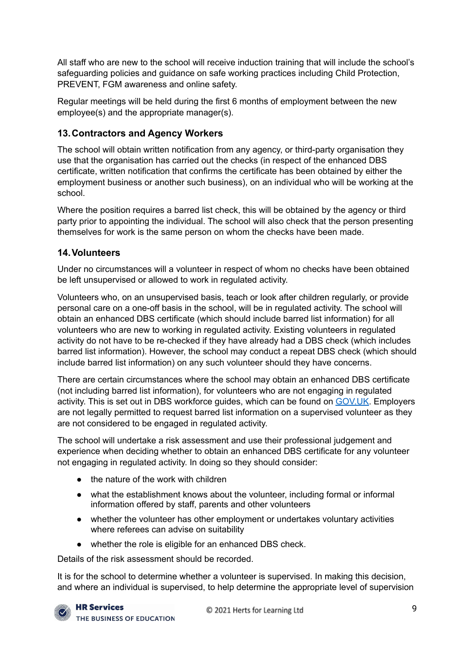All staff who are new to the school will receive induction training that will include the school's safeguarding policies and guidance on safe working practices including Child Protection, PREVENT, FGM awareness and online safety.

Regular meetings will be held during the first 6 months of employment between the new employee(s) and the appropriate manager(s).

# <span id="page-9-0"></span>**13.Contractors and Agency Workers**

The school will obtain written notification from any agency, or third-party organisation they use that the organisation has carried out the checks (in respect of the enhanced DBS certificate, written notification that confirms the certificate has been obtained by either the employment business or another such business), on an individual who will be working at the school.

Where the position requires a barred list check, this will be obtained by the agency or third party prior to appointing the individual. The school will also check that the person presenting themselves for work is the same person on whom the checks have been made.

# <span id="page-9-1"></span>**14.Volunteers**

Under no circumstances will a volunteer in respect of whom no checks have been obtained be left unsupervised or allowed to work in regulated activity.

Volunteers who, on an unsupervised basis, teach or look after children regularly, or provide personal care on a one-off basis in the school, will be in regulated activity. The school will obtain an enhanced DBS certificate (which should include barred list information) for all volunteers who are new to working in regulated activity. Existing volunteers in regulated activity do not have to be re-checked if they have already had a DBS check (which includes barred list information). However, the school may conduct a repeat DBS check (which should include barred list information) on any such volunteer should they have concerns.

There are certain circumstances where the school may obtain an enhanced DBS certificate (not including barred list information), for volunteers who are not engaging in regulated activity. This is set out in DBS workforce guides, which can be found on [GOV.UK](https://www.gov.uk/government/publications/dbs-workforce-guidance). Employers are not legally permitted to request barred list information on a supervised volunteer as they are not considered to be engaged in regulated activity.

The school will undertake a risk assessment and use their professional judgement and experience when deciding whether to obtain an enhanced DBS certificate for any volunteer not engaging in regulated activity. In doing so they should consider:

- the nature of the work with children
- what the establishment knows about the volunteer, including formal or informal information offered by staff, parents and other volunteers
- whether the volunteer has other employment or undertakes voluntary activities where referees can advise on suitability
- whether the role is eligible for an enhanced DBS check.

Details of the risk assessment should be recorded.

It is for the school to determine whether a volunteer is supervised. In making this decision, and where an individual is supervised, to help determine the appropriate level of supervision

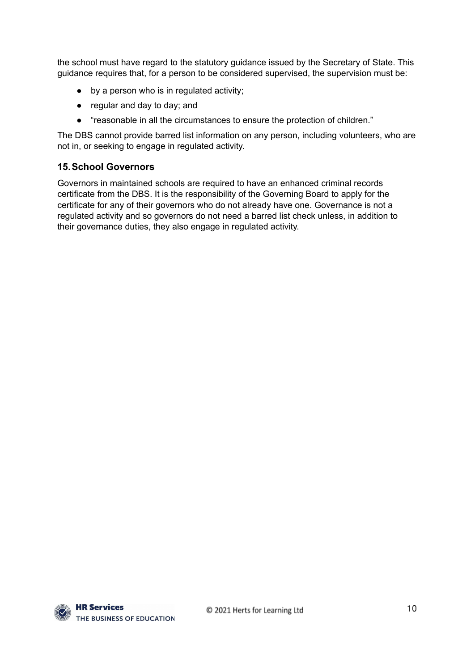the school must have regard to the statutory guidance issued by the Secretary of State. This guidance requires that, for a person to be considered supervised, the supervision must be:

- by a person who is in regulated activity;
- regular and day to day; and
- "reasonable in all the circumstances to ensure the protection of children."

The DBS cannot provide barred list information on any person, including volunteers, who are not in, or seeking to engage in regulated activity.

#### <span id="page-10-0"></span>**15.School Governors**

Governors in maintained schools are required to have an enhanced criminal records certificate from the DBS. It is the responsibility of the Governing Board to apply for the certificate for any of their governors who do not already have one. Governance is not a regulated activity and so governors do not need a barred list check unless, in addition to their governance duties, they also engage in regulated activity.

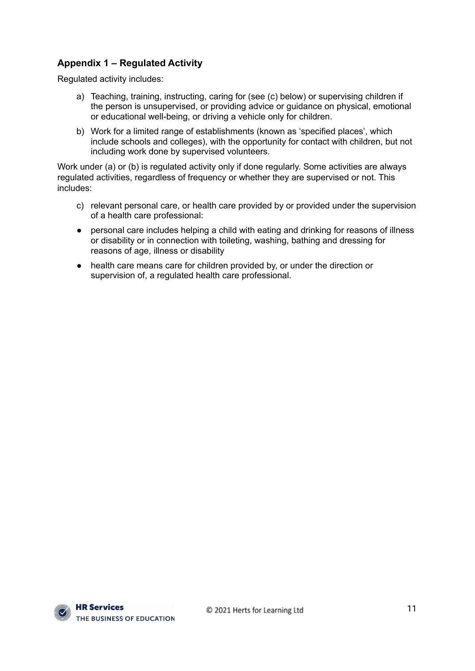## <span id="page-11-0"></span>**Appendix 1 – Regulated Activity**

Regulated activity includes:

- a) Teaching, training, instructing, caring for (see (c) below) or supervising children if the person is unsupervised, or providing advice or guidance on physical, emotional or educational well-being, or driving a vehicle only for children.
- b) Work for a limited range of establishments (known as 'specified places', which include schools and colleges), with the opportunity for contact with children, but not including work done by supervised volunteers.

Work under (a) or (b) is regulated activity only if done regularly. Some activities are always regulated activities, regardless of frequency or whether they are supervised or not. This includes:

- c) relevant personal care, or health care provided by or provided under the supervision of a health care professional:
- personal care includes helping a child with eating and drinking for reasons of illness or disability or in connection with toileting, washing, bathing and dressing for reasons of age, illness or disability
- health care means care for children provided by, or under the direction or supervision of, a regulated health care professional.

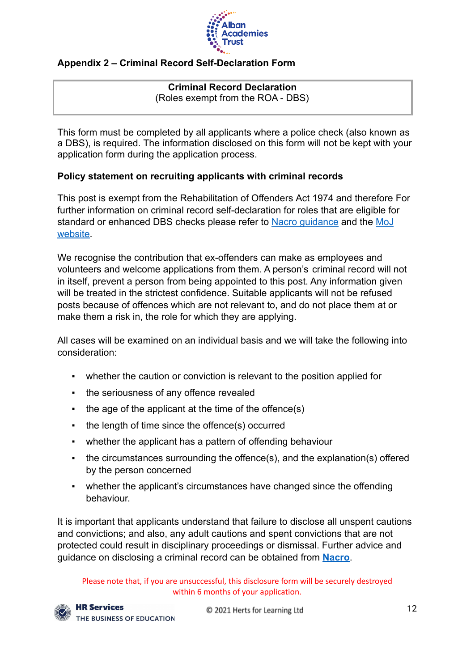

## <span id="page-12-0"></span>**Appendix 2 – Criminal Record Self-Declaration Form**

### **Criminal Record Declaration** (Roles exempt from the ROA - DBS)

This form must be completed by all applicants where a police check (also known as a DBS), is required. The information disclosed on this form will not be kept with your application form during the application process.

## **Policy statement on recruiting applicants with criminal records**

This post is exempt from the Rehabilitation of Offenders Act 1974 and therefore For further information on criminal record self-declaration for roles that are eligible for standard or enhanced DBS checks please refer to Nacro [guidance](https://www.nacro.org.uk/criminal-record-support-service/) and the [MoJ](https://www.gov.uk/government/publications/new-guidance-on-the-rehabilitation-of-offenders-act-1974) [website.](https://www.gov.uk/government/publications/new-guidance-on-the-rehabilitation-of-offenders-act-1974)

We recognise the contribution that ex-offenders can make as employees and volunteers and welcome applications from them. A person's criminal record will not in itself, prevent a person from being appointed to this post. Any information given will be treated in the strictest confidence. Suitable applicants will not be refused posts because of offences which are not relevant to, and do not place them at or make them a risk in, the role for which they are applying.

All cases will be examined on an individual basis and we will take the following into consideration:

- whether the caution or conviction is relevant to the position applied for
- the seriousness of any offence revealed
- the age of the applicant at the time of the offence(s)
- the length of time since the offence(s) occurred
- whether the applicant has a pattern of offending behaviour
- the circumstances surrounding the offence(s), and the explanation(s) offered by the person concerned
- whether the applicant's circumstances have changed since the offending behaviour.

It is important that applicants understand that failure to disclose all unspent cautions and convictions; and also, any adult cautions and spent convictions that are not protected could result in disciplinary proceedings or dismissal. Further advice and guidance on disclosing a criminal record can be obtained from **[Nacro](http://www.nacro.org.uk/data/files/practical-guidance-on-dbs-filtering-1032.pdf)**.

Please note that, if you are unsuccessful, this disclosure form will be securely destroyed within 6 months of your application.

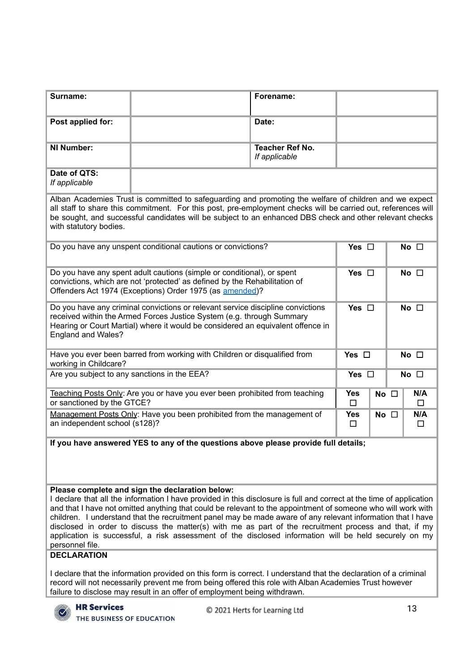| Surname:                                                                                                                                                                                                                                                                                                                                                                                                                                                                                                                                                                                                                                                           |                                                                                               | Forename:                               |               |            |               |  |
|--------------------------------------------------------------------------------------------------------------------------------------------------------------------------------------------------------------------------------------------------------------------------------------------------------------------------------------------------------------------------------------------------------------------------------------------------------------------------------------------------------------------------------------------------------------------------------------------------------------------------------------------------------------------|-----------------------------------------------------------------------------------------------|-----------------------------------------|---------------|------------|---------------|--|
| Post applied for:                                                                                                                                                                                                                                                                                                                                                                                                                                                                                                                                                                                                                                                  |                                                                                               | Date:                                   |               |            |               |  |
| <b>NI Number:</b>                                                                                                                                                                                                                                                                                                                                                                                                                                                                                                                                                                                                                                                  |                                                                                               | <b>Teacher Ref No.</b><br>If applicable |               |            |               |  |
| Date of QTS:<br>If applicable                                                                                                                                                                                                                                                                                                                                                                                                                                                                                                                                                                                                                                      |                                                                                               |                                         |               |            |               |  |
| Alban Academies Trust is committed to safeguarding and promoting the welfare of children and we expect<br>all staff to share this commitment. For this post, pre-employment checks will be carried out, references will<br>be sought, and successful candidates will be subject to an enhanced DBS check and other relevant checks<br>with statutory bodies.                                                                                                                                                                                                                                                                                                       |                                                                                               |                                         |               |            |               |  |
|                                                                                                                                                                                                                                                                                                                                                                                                                                                                                                                                                                                                                                                                    | Do you have any unspent conditional cautions or convictions?<br>Yes $\square$<br>No $\square$ |                                         |               |            |               |  |
| Do you have any spent adult cautions (simple or conditional), or spent<br>Yes $\square$<br>No $\square$<br>convictions, which are not 'protected' as defined by the Rehabilitation of<br>Offenders Act 1974 (Exceptions) Order 1975 (as amended)?                                                                                                                                                                                                                                                                                                                                                                                                                  |                                                                                               |                                         |               |            |               |  |
| Do you have any criminal convictions or relevant service discipline convictions<br>Yes $\square$<br>No $\square$<br>received within the Armed Forces Justice System (e.g. through Summary<br>Hearing or Court Martial) where it would be considered an equivalent offence in<br>England and Wales?                                                                                                                                                                                                                                                                                                                                                                 |                                                                                               |                                         |               |            |               |  |
| Have you ever been barred from working with Children or disqualified from<br>working in Childcare?                                                                                                                                                                                                                                                                                                                                                                                                                                                                                                                                                                 |                                                                                               |                                         |               | Yes $\Box$ | No $\square$  |  |
| Are you subject to any sanctions in the EEA?<br>Yes $\Box$<br>No $\square$                                                                                                                                                                                                                                                                                                                                                                                                                                                                                                                                                                                         |                                                                                               |                                         |               |            |               |  |
| Teaching Posts Only: Are you or have you ever been prohibited from teaching<br><b>Yes</b><br>or sanctioned by the GTCE?<br>□                                                                                                                                                                                                                                                                                                                                                                                                                                                                                                                                       |                                                                                               |                                         |               |            | N/A<br>$\Box$ |  |
| Management Posts Only: Have you been prohibited from the management of<br>an independent school (s128)?                                                                                                                                                                                                                                                                                                                                                                                                                                                                                                                                                            | <b>Yes</b><br>$\Box$                                                                          | No $\square$                            | N/A<br>$\Box$ |            |               |  |
| If you have answered YES to any of the questions above please provide full details;                                                                                                                                                                                                                                                                                                                                                                                                                                                                                                                                                                                |                                                                                               |                                         |               |            |               |  |
| Please complete and sign the declaration below:<br>I declare that all the information I have provided in this disclosure is full and correct at the time of application<br>and that I have not omitted anything that could be relevant to the appointment of someone who will work with<br>children. I understand that the recruitment panel may be made aware of any relevant information that I have<br>disclosed in order to discuss the matter(s) with me as part of the recruitment process and that, if my<br>application is successful, a risk assessment of the disclosed information will be held securely on my<br>personnel file.<br><b>DECLARATION</b> |                                                                                               |                                         |               |            |               |  |
| I declare that the information provided on this form is correct. I understand that the declaration of a criminal<br>record will not necessarily prevent me from being offered this role with Alban Academies Trust however<br>failure to disclose may result in an offer of employment being withdrawn.                                                                                                                                                                                                                                                                                                                                                            |                                                                                               |                                         |               |            |               |  |
| <b>HR Services</b><br>THE BUSINESS OF EDUCATION                                                                                                                                                                                                                                                                                                                                                                                                                                                                                                                                                                                                                    |                                                                                               | C 2021 Herts for Learning Ltd           |               |            | 13            |  |